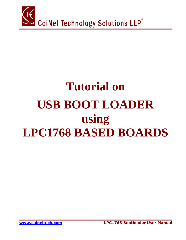

# **Tutorial on USB BOOT LOADER using LPC1768 BASED BOARDS**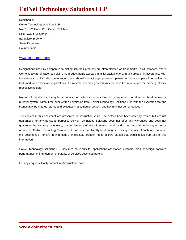# **CoiNel Technology Solutions LLP**

Designed by CoiNel Technology Solutions LLP No-816,  $2^{nd}$  Floor,  $4^{th}$  B Cross,  $9^{th}$  A Main, RPC Layout, Vijaynagar, Bangalore-560040 State: Karnataka Country: India

#### [www.coineltech.com](http://www.coineltech.com/)

Designations used by companies to distinguish their products are often claimed as trademarks. In all instances where CoiNel is aware of trademark claim, the product name appears in initial capital letters, in all capital or in accordance with the vendor's capitalization preference. Users should contact appropriate companies for more complete information on trademark and trademark registrations. All trademarks and registered trademarks in this manual are the property of their respective holders.

No part of this document may be reproduced or distributed in any form or by any means, or stored in the database or retrieval system, without the prior written permission from CoiNel Technology Solutions LLP; with the exception that the listings may be entered, stored and executed in a computer system, but they may not be reproduced.

The content in this document are presented for instruction value. The details have been carefully tested, but are not guaranteed for any particular purpose. CoiNel Technology Solutions does not offer any warranties and does not guarantee the accuracy, adequacy, or completeness of any information herein and is not responsible for any errors or omissions. CoiNel Technology Solutions LLP assumes no liability for damages resulting from use of such information in this document or for any infringement of intellectual property rights of third parties that would result from use of this information.

CoiNel Technology Solutions LLP assumes no liability for applications assistance, customer product design, software performance, or infringement of patents or services described herein.

For any enquires, kindly contact info@coineltech.com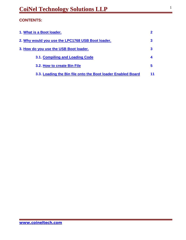# **CONTENTS:**

| 1. What is a Boot loader.                                    |    |
|--------------------------------------------------------------|----|
| 2. Why would you use the LPC1768 USB Boot loader.            |    |
| 3. How do you use the USB Boot loader.                       |    |
| 3.1. Compiling and Loading Code                              |    |
| 3.2. How to create Bin File                                  | 5  |
| 3.3. Loading the Bin file onto the Boot loader Enabled Board | 11 |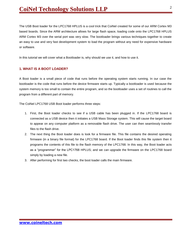The USB Boot loader for the LPC1768 HPLUS is a cool trick that CoiNel created for some of our ARM Cortex M3 based boards. Since the ARM architecture allows for large flash space, loading code onto the LPC1768 HPLUS ARM Cortex M3 over the serial port was very slow. The bootloader brings various techniques together to create an easy to use and very fast development system to load the program without any need for expensive hardware or software.

In this tutorial we will cover what a Bootloader is, why should we use it, and how to use it.

#### <span id="page-3-0"></span>**1. WHAT IS A BOOT LOADER?**

A Boot loader is a small piece of code that runs before the operating system starts running. In our case the bootloader is the code that runs before the device firmware starts up. Typically a bootloader is used because the system memory is too small to contain the entire program, and so the bootloader uses a set of routines to call the program from a different part of memory.

The CoiNel LPC1768 USB Boot loader performs three steps:

- 1. First, the Boot loader checks to see if a USB cable has been plugged in. If the LPC1768 board is connected as a USB device then it initiates a USB Mass Storage system. This will cause the target board to appear on any computer platform as a removable flash drive. The user can then seamlessly transfer files to the flash drive.
- 2. The next thing the Boot loader does is look for a firmware file. This file contains the desired operating firmware (in a binary file format) for the LPC1768 board. If the Boot loader finds this file system then it programs the contents of this file to the flash memory of the LPC1768. In this way, the Boot loader acts as a "programmer" for the LPC1768 HPLUS; and we can upgrade the firmware on the LPC1768 board simply by loading a new file.
- 3. After performing for first two checks, the boot loader calls the main firmware.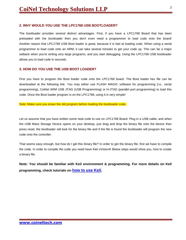### **2. WHY WOULD YOU USE THE LPC1768 USB BOOTLOADER?**

The bootloader provides several distinct advantages. First, if you have a LPC1768 Board that has been preloaded with the bootloader then you don't even need a programmer to load code onto the board! Another reason that LPC1768 USB Boot loader is great, because it is fast at loading code. When using a serial programmer to load code onto an ARM, it can take several minutes to get your code up. This can be a major setback when you're writing very large programs, and you start debugging. Using the LPC1768 USB bootloader allows you to load code in seconds.

## <span id="page-4-0"></span>**3. HOW DO YOU USE THE USB BOOT LOADER?**

First you have to program the Boot loader code onto the LPC1768 board. The Boot loader hex file can be downloaded at the following link. You may either use FLASH MAGIC software for programming (i.e., serial programming), CoiNel ARM USB JTAG (USB Programming) or H-JTAG (parallel port programming) to load this code. Once the Boot loader program is on the LPC1768, using it is very simple!

Note: Make sure you erase the old program before loading the bootloader code.

Let us assume that you have written some neat code to use on LPC1768 Board. Plug in a USB cable, and when the USB Mass Storage Device opens on your desktop, just drag and drop the binary file onto the device then press reset; the bootloader will look for the binary file and if the file is found the bootloader will program the new code onto the controller.

That seems easy enough, but how do I get this binary file? In order to get the binary file, first we have to compile the code. In order to compile the code you need have Kiel uVision4! Below steps would show you, how to create a binary file.

**Note: You should be familiar with Keil environment & programming. For more details on Keil programming, check tutorials on [how to use Keil.](http://www.youtube.com/watch?v=zJncQKNDZv8)**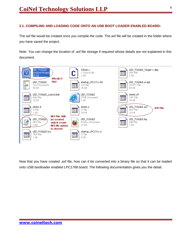## <span id="page-5-0"></span>**3.1. COMPILING AND LOADING CODE ONTO AN USB BOOT LOADER ENABLED BOARD:**

The axf file would be created once you compile the code. The axf file will be created in the folder where you have saved the project.

Note: You can change the location of .axf file storage if required whose details are not explained in this document.



Now that you have created .axf file, how can it be converted into a binary file so that it can be loaded onto USB bootloader enabled LPC1768 board. The following documentation gives you the detail.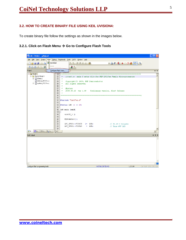## <span id="page-6-0"></span>**3.2. HOW TO CREATE BINARY FILE USING KEIL UVISION4:**

To create binary file follow the settings as shown in the images below.

#### **3.2.1. Click on Flash Menu → Go to Configure Flash Tools**

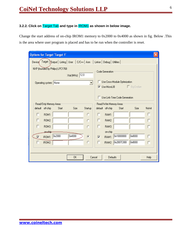# **3.2.2. Click on** Target Tab **and type in** IROM1 **as shown in below image.**

Change the start address of on-chip IROM1 memory to 0x2000 to 0x4000 as shown in fig. Below .This is the area where user program is placed and has to be run when the controller is reset.

| <b>Options for Target 'Target 1'</b>                                                                 |                                     |                        |        |        |               |                         |                  |                                 |                   |        |
|------------------------------------------------------------------------------------------------------|-------------------------------------|------------------------|--------|--------|---------------|-------------------------|------------------|---------------------------------|-------------------|--------|
| Dutput   Listing   User   C/C++   Asm<br>Target [<br>Linker   Debug   Utilities  <br>Device <b>∕</b> |                                     |                        |        |        |               |                         |                  |                                 |                   |        |
| NXP (founded by Philips) LPC1768                                                                     |                                     |                        |        |        |               |                         |                  |                                 |                   |        |
|                                                                                                      | Code Generation<br>Xtal (MHz): 12.0 |                        |        |        |               |                         |                  |                                 |                   |        |
|                                                                                                      |                                     | Operating system: None |        |        |               |                         |                  | Use Cross-Module Optimization   |                   |        |
|                                                                                                      |                                     |                        |        |        |               |                         |                  | <b>V</b> Use MicroLIB           | $\Box$ Big Endian |        |
|                                                                                                      |                                     |                        |        |        |               |                         |                  |                                 |                   |        |
|                                                                                                      |                                     |                        |        |        |               |                         |                  | □ Use Link-Time Code Generation |                   |        |
|                                                                                                      |                                     | Read/Only Memory Areas |        |        |               |                         |                  | Read/Write Memory Areas-        |                   |        |
|                                                                                                      | default                             | off-chip               | Start  | Size   | Startup       |                         | default off-chip | Start                           | Size              | Nolnit |
|                                                                                                      | п                                   | ROM1:                  |        |        | C             |                         | RAM1:            |                                 |                   |        |
|                                                                                                      | г                                   | ROM2:                  |        |        | Ō             | г                       | RAM2:            |                                 |                   | г      |
|                                                                                                      |                                     | ROM3:                  |        |        |               | п                       | RAM3:            |                                 |                   |        |
|                                                                                                      |                                     | on-ship-               |        |        |               |                         | on-chip          |                                 |                   |        |
|                                                                                                      | $\overline{\mathbf{v}}$             | IROM1:                 | 0x2000 | 0x4000 | $\mathcal{C}$ | $\overline{\mathbf{v}}$ | IRAM1:           | 0x10000000                      | 0x8000            | г      |
|                                                                                                      |                                     | IROM2:                 |        |        | C             | П                       | IRAM2:           | 0x2007C000                      | 0x8000            | г      |
|                                                                                                      |                                     |                        |        |        |               |                         |                  |                                 |                   |        |
|                                                                                                      |                                     |                        |        |        |               |                         |                  |                                 |                   |        |
|                                                                                                      | 0K<br>Cancel<br>Defaults<br>Help    |                        |        |        |               |                         |                  |                                 |                   |        |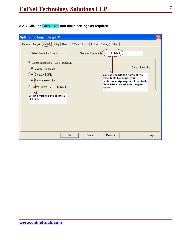# **3.2.3. Click on** Output Tab **and make settings as required.**

| <b>Options for Target 'Target 1'</b>                                               |                                                                                                     |
|------------------------------------------------------------------------------------|-----------------------------------------------------------------------------------------------------|
| Device   Target (Output) Listing   User   C/C++   Asm   Linker   Debug   Utilities |                                                                                                     |
| Select Folder for Objects                                                          | Name of Executable LED_TOGGLE                                                                       |
| C Create Executable: .NLED_TOGGLE<br>$\nabla$ Debug Information                    | $\Box$ Create Batch File                                                                            |
| Create HEX File<br> ⊽<br><b>▶</b> Browse Information                               | You can change the name of the<br>executable file as per your<br>preference. Appropriate Executable |
| C Create Library: .NLED_TOGGLE.LIB                                                 | file will be created with the given<br>name.                                                        |
| Select if you need to create a<br><b>HEX File.</b>                                 |                                                                                                     |
|                                                                                    |                                                                                                     |
|                                                                                    |                                                                                                     |
|                                                                                    |                                                                                                     |
| 0K<br>Cancel                                                                       | Defaults<br>Help                                                                                    |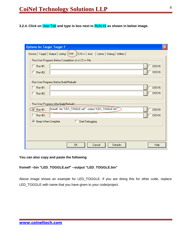**3.2.4. Click on** User Tab **and type in box next to** RUN #1 **as shown in below image.**

| <b>Options for Target 'Target 1'</b>                                                 |                  |
|--------------------------------------------------------------------------------------|------------------|
| Device   Target   Output   Listing (User<br>C/C++   Asm   Linker   Debug   Utilities |                  |
| Run User Programs Before Compilation of a C/C++ File                                 |                  |
| $\Box$ Run #1:                                                                       | DOS16            |
| $\Box$ Run #2:                                                                       | $\sqrt{ }$ DOS16 |
| Run User Programs Before Build/Rebuild                                               |                  |
| $\Box$ Run #1:                                                                       | $\sqrt{ }$ DOS16 |
| $\Box$ Run #2:                                                                       | D0S16            |
| Run User Programs After Build/Behuild:                                               |                  |
| fromelf --bin "LED_TOGGLE.axf" --output "LED_TOGGLE.bin" ~<br>$\sqrt{ }$ Run #1:     | D0S16            |
| $\Box$ Run #2:                                                                       | D0S16            |
| Ⅳ Beep When Complete<br><b>Start Debugging</b>                                       |                  |
|                                                                                      |                  |
|                                                                                      |                  |
| <b>OK</b><br>Cancel<br>Defaults                                                      | Help             |

**You can also copy and paste the following**

# **fromelf --bin "LED\_TOGGLE.axf" --output "LED\_TOGGLE.bin"**

Above image shows an example for LED\_TOGGLE. If you are doing this for other code, replace LED\_TOGGLE with name that you have given to your code/project.

**[www.coineltech.com](http://www.coineltech.com/)**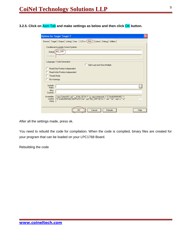**3.2.5. Click on** Asm Tab **and make settings as below and then click** OK **button.**

| <b>Options for Target 'Target 1'</b>                                                                                   |  |
|------------------------------------------------------------------------------------------------------------------------|--|
| Device   Target   Output   Listing   User   C/C++ (Asm)   Linker   Debug   Utilities                                   |  |
| Conditional Assembly Control Symbols                                                                                   |  |
| NO_CRP<br>Definet                                                                                                      |  |
| Undefine:                                                                                                              |  |
| Language / Code Generation                                                                                             |  |
| Split Load and Store Multiple                                                                                          |  |
| Read-Only Position Independent                                                                                         |  |
| Read-Write Position Independent<br>Thumb Mode                                                                          |  |
| No Warnings                                                                                                            |  |
|                                                                                                                        |  |
| Include<br>Paths                                                                                                       |  |
| Misc<br>Controls                                                                                                       |  |
| Assembler<br>~cpu Cortex-M3 ~pd "__EVAL SETA 1" -g ~apcs=interwork -l "C:\Keil\ARM\INC" -l<br>$\wedge$                 |  |
| "C:\Keil\ARM\INC\NXP\LPC17xx" --pd "NO_CRP SETA 1" --list "*.lst" --xref -o "*.o"<br>control<br>$\checkmark$<br>string |  |
|                                                                                                                        |  |
| 0K<br>Defaults<br>Cancel<br>Help                                                                                       |  |

After all the settings made, press ok.

You need to rebuild the code for compilation. When the code is complied, binary files are created for your program that can be loaded on your LPC1768 Board.

Rebuilding the code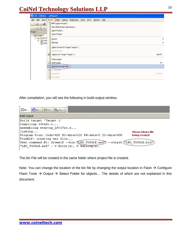# **CoiNel Technology Solutions LLP**

| <b>WLED_TOGGLE - µVision4</b>                   |   |        |                 |                          |                                     |            |        |         |
|-------------------------------------------------|---|--------|-----------------|--------------------------|-------------------------------------|------------|--------|---------|
| File Edit View (Project                         |   |        | )Fl <u>a</u> sh | Debug                    | Peripherals                         | Tools SVCS | Window | Help    |
| e d<br>$\mathfrak{S}$                           |   |        |                 | New µVision Project      |                                     |            |        |         |
| <b>EB</b><br>⊗                                  |   |        |                 |                          | New Multi-Project Workspace         |            |        |         |
| Project                                         |   |        | Open Project    |                          |                                     |            |        |         |
| □ arget 1                                       |   |        | Close Project   |                          |                                     |            |        |         |
| 白 Source G                                      |   | Export |                 |                          |                                     |            |        |         |
| ‡- <mark>ki</mark> IOte<br>$\overline{1}$ start |   | Manage |                 |                          |                                     |            |        | ▶       |
|                                                 |   |        |                 |                          | Select Device for Target 'Target 1' |            |        |         |
|                                                 |   |        | Remove Item     |                          |                                     |            |        |         |
|                                                 | 术 |        |                 |                          | Options for Target 'Target 1'       |            |        | Alt+F7  |
|                                                 |   |        |                 |                          |                                     |            |        |         |
|                                                 |   |        | Clean target    |                          |                                     |            |        |         |
|                                                 | 圖 |        | Build target    |                          |                                     |            |        | F7      |
|                                                 |   |        |                 | Rebuild all target files |                                     |            |        |         |
|                                                 | Ø |        | Batch Build     |                          |                                     |            |        |         |
|                                                 | હ |        | Translate       |                          |                                     |            |        | Ctrl+F7 |
|                                                 | 豐 |        | Stop build      |                          |                                     |            |        |         |

After compilation, you will see the following in build output window.



The bin File will be created in the same folder where project file is created.

Note: You can change the location of the bin file by changing the output location in Flash  $\rightarrow$  Configure Flash Tools  $\rightarrow$  Output  $\rightarrow$  Select Folder for objects... The details of which are not explained in this document.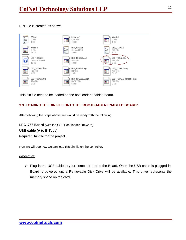# BIN File is created as shown



This bin file need to be loaded on the bootloader enabled board.

# <span id="page-12-0"></span>**3.3. LOADING THE BIN FILE ONTO THE BOOTLOADER ENABLED BOARD:**

After following the steps above, we would be ready with the following

**LPC1768 Board** (with the USB Boot loader firmware)

**USB cable (A to B Type).**

**Required .bin file for the project.**

Now we will see how we can load this bin file on the controller.

#### *Procedure***:**

 $\triangleright$  Plug in the USB cable to your computer and to the Board. Once the USB cable is plugged in, Board is powered up; a Removable Disk Drive will be available. This drive represents the memory space on the card.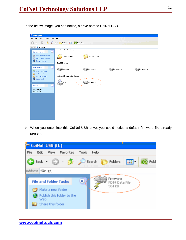In the below image, you can notice, a drive named CoiNel USB.

| My Computer                                                                |                                                       |                 |                 |
|----------------------------------------------------------------------------|-------------------------------------------------------|-----------------|-----------------|
| Edit View Favorites Tools Help<br>File                                     |                                                       |                 |                 |
| ₿<br>Back *                                                                | Folder Sync<br>$\boxed{m}$<br>Search <b>P</b> Folders |                 |                 |
| Address My Computer                                                        |                                                       |                 |                 |
| $\bullet$<br><b>System Tasks</b>                                           | Files Stored on This Computer                         |                 |                 |
| View system information<br>B<br>Add or remove programs<br>Change a setting | Shared Documents<br>xyz's Documents                   |                 |                 |
|                                                                            | <b>Hard Disk Drives</b>                               |                 |                 |
| $\circledast$<br><b>Other Places</b><br>My Network Places<br>My Documents  | $\Box$ Local Disk (C:)<br>Local Disk (D:)             | Local Disk (E:) | Local Disk (F:) |
| Shared Documents                                                           | Devices with Removable Storage                        |                 |                 |
| Control Panel                                                              | $\bullet$<br>CD Drive (G:)<br>CoiNel USB (H:)         |                 |                 |
| $\hat{\mathbf{x}}$<br><b>Details</b>                                       |                                                       |                 |                 |
| My Computer<br>System Folder                                               |                                                       |                 |                 |
|                                                                            |                                                       |                 |                 |
|                                                                            |                                                       |                 |                 |
|                                                                            |                                                       |                 |                 |
|                                                                            |                                                       |                 |                 |
|                                                                            |                                                       |                 |                 |
|                                                                            |                                                       |                 |                 |
|                                                                            |                                                       |                 |                 |
|                                                                            |                                                       |                 |                 |

 When you enter into this CoiNel USB drive, you could notice a default firmware file already present.

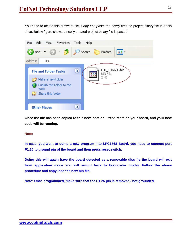You need to delete this firmware file. *Copy and paste* the newly created project binary file into this drive. Below figure shows a newly created project binary file is pasted.



**Once the file has been copied to this new location, Press reset on your board, and your new code will be running.**

#### **Note:**

**In case, you want to dump a new program into LPC1768 Board, you need to connect port P1.25 to ground pin of the board and then press reset switch.**

**Doing this will again have the board detected as a removable disc (ie the board will exit from application mode and will switch back to bootloader mode). Follow the above procedure and copy/load the new bin file.**

**Note: Once programmed, make sure that the P1.25 pin is removed / not grounded.**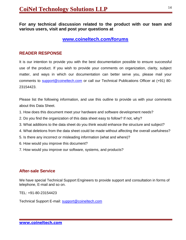**For any technical discussion related to the product with our team and various users, visit and post your questions at**

# **<www.coineltech.com/forums>**

# **READER RESPONSE**

It is our intention to provide you with the best documentation possible to ensure successful use of the product. If you wish to provide your comments on organization, clarity, subject matter, and ways in which our documentation can better serve you, please mail your comments to [support@coineltech.com](mailto:support@coineltech.com) or call our Technical Publications Officer at (+91) 80- 23154423.

Please list the following information, and use this outline to provide us with your comments about this Data Sheet.

- 1. How does this document meet your hardware and software development needs?
- 2. Do you find the organization of this data sheet easy to follow? If not, why?
- 3. What additions to the data sheet do you think would enhance the structure and subject?
- 4. What deletions from the data sheet could be made without affecting the overall usefulness?
- 5. Is there any incorrect or misleading information (what and where)?
- 6. How would you improve this document?
- 7. How would you improve our software, systems, and products?

# **After-sale Service**

We have special Technical Support Engineers to provide support and consultation in forms of telephone, E-mail and so on.

TEL: +91-80-23154423

Technical Support E-mail: [support@coineltech.com](mailto:support@coineltech.com)

**[www.coineltech.com](http://www.coineltech.com/)**